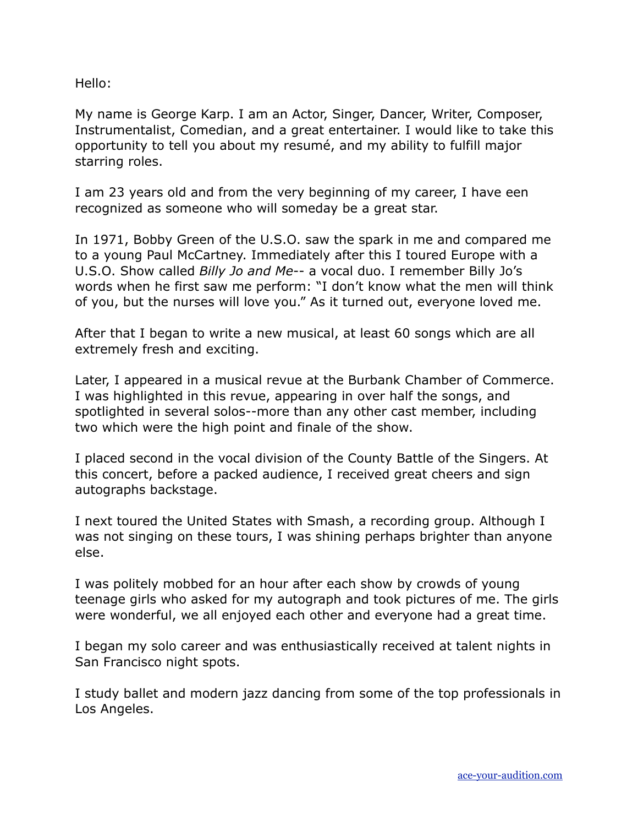Hello:

My name is George Karp. I am an Actor, Singer, Dancer, Writer, Composer, Instrumentalist, Comedian, and a great entertainer. I would like to take this opportunity to tell you about my resumé, and my ability to fulfill major starring roles.

I am 23 years old and from the very beginning of my career, I have een recognized as someone who will someday be a great star.

In 1971, Bobby Green of the U.S.O. saw the spark in me and compared me to a young Paul McCartney. Immediately after this I toured Europe with a U.S.O. Show called *Billy Jo and Me*-- a vocal duo. I remember Billy Jo's words when he first saw me perform: "I don't know what the men will think of you, but the nurses will love you." As it turned out, everyone loved me.

After that I began to write a new musical, at least 60 songs which are all extremely fresh and exciting.

Later, I appeared in a musical revue at the Burbank Chamber of Commerce. I was highlighted in this revue, appearing in over half the songs, and spotlighted in several solos--more than any other cast member, including two which were the high point and finale of the show.

I placed second in the vocal division of the County Battle of the Singers. At this concert, before a packed audience, I received great cheers and sign autographs backstage.

I next toured the United States with Smash, a recording group. Although I was not singing on these tours, I was shining perhaps brighter than anyone else.

I was politely mobbed for an hour after each show by crowds of young teenage girls who asked for my autograph and took pictures of me. The girls were wonderful, we all enjoyed each other and everyone had a great time.

I began my solo career and was enthusiastically received at talent nights in San Francisco night spots.

I study ballet and modern jazz dancing from some of the top professionals in Los Angeles.